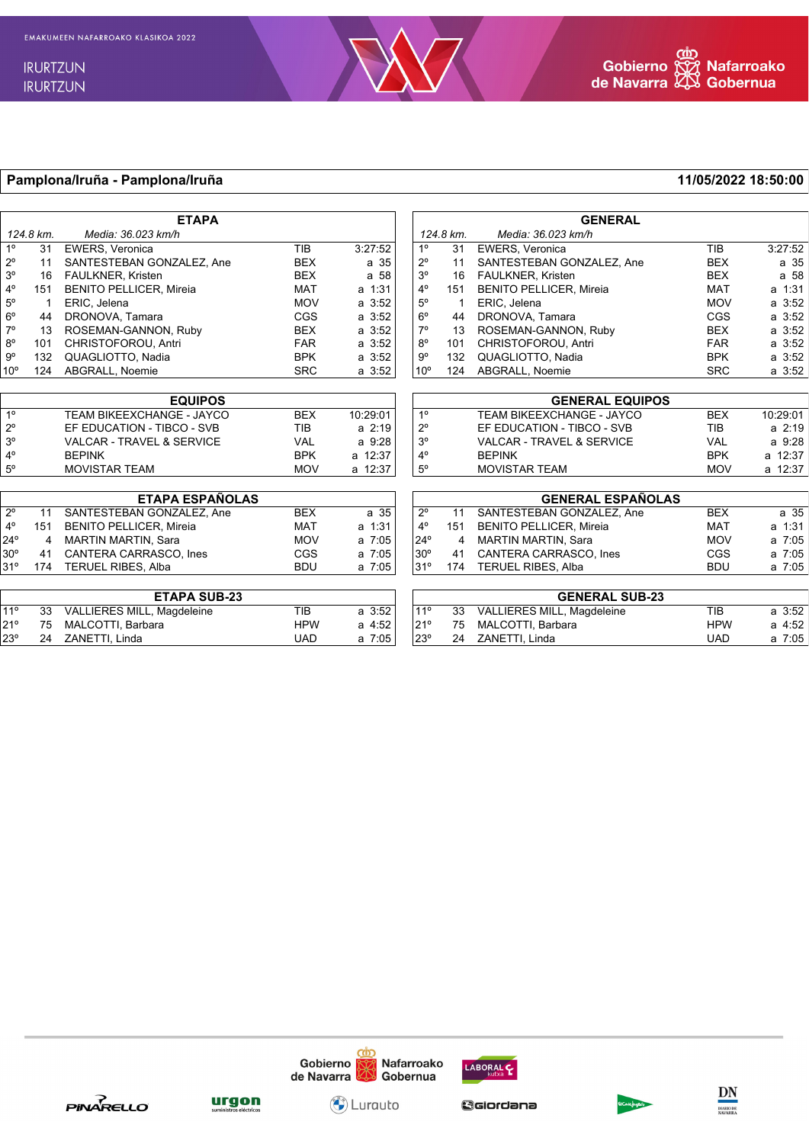

## **Pamplona/Iruña - Pamplona/Iruña 11/05/2022 18:50:00**

|                     |           | <b>ETAPA</b>                         |            |             |                        |                       | <b>GENERAL</b>                       |            |                 |  |
|---------------------|-----------|--------------------------------------|------------|-------------|------------------------|-----------------------|--------------------------------------|------------|-----------------|--|
|                     | 124.8 km. | Media: 36.023 km/h                   |            |             |                        | 124.8 km.             | Media: 36.023 km/h                   |            |                 |  |
| 1 <sup>°</sup>      | 31        | <b>EWERS, Veronica</b>               | <b>TIB</b> | 3:27:52     | 1 <sup>0</sup>         | 31                    | <b>EWERS, Veronica</b>               | <b>TIB</b> | 3:27:52         |  |
| $2^{\circ}$         | 11        | SANTESTEBAN GONZALEZ, Ane            | <b>BEX</b> | a 35        | $2^{\circ}$            | 11                    | SANTESTEBAN GONZALEZ, Ane            | <b>BEX</b> | a 35            |  |
| 3 <sup>o</sup>      | 16        | FAULKNER, Kristen                    | <b>BEX</b> | a 58        | 3 <sup>o</sup>         | 16                    | FAULKNER, Kristen                    | <b>BEX</b> | a <sub>58</sub> |  |
| $4^{\circ}$         | 151       | <b>BENITO PELLICER, Mireia</b>       | <b>MAT</b> | a 1:31      | $4^{\circ}$            | 151                   | <b>BENITO PELLICER, Mireia</b>       | <b>MAT</b> | a 1:31          |  |
| $5^{\circ}$         |           | ERIC. Jelena                         | <b>MOV</b> | a 3:52      | $5^\circ$              |                       | ERIC. Jelena                         | <b>MOV</b> | $a \, 3:52$     |  |
| $6^{\circ}$         | 44        | DRONOVA, Tamara                      | <b>CGS</b> | $a \, 3:52$ | $6^{\circ}$            | 44                    | DRONOVA, Tamara                      | <b>CGS</b> | a 3:52          |  |
| $7^\circ$           | 13        | ROSEMAN-GANNON, Ruby                 | <b>BEX</b> | a 3:52      | $7^\circ$              | 13                    | ROSEMAN-GANNON, Ruby                 | <b>BEX</b> | $a \, 3:52$     |  |
| $8^{\circ}$         | 101       | CHRISTOFOROU, Antri                  | <b>FAR</b> | a 3:52      | $8^{\circ}$            | 101                   | CHRISTOFOROU, Antri                  | <b>FAR</b> | a 3:52          |  |
| $9^{\circ}$         | 132       | QUAGLIOTTO, Nadia                    | <b>BPK</b> | $a \, 3:52$ | $9^{\circ}$            | 132                   | QUAGLIOTTO, Nadia                    | <b>BPK</b> | a 3:52          |  |
| 10 <sup>o</sup>     | 124       | ABGRALL, Noemie                      | <b>SRC</b> | $a \, 3:52$ | 10 <sup>o</sup>        | 124                   | ABGRALL, Noemie                      | <b>SRC</b> | a 3:52          |  |
|                     |           |                                      |            |             |                        |                       |                                      |            |                 |  |
| <b>EQUIPOS</b>      |           |                                      |            |             | <b>GENERAL EQUIPOS</b> |                       |                                      |            |                 |  |
| 1 <sup>o</sup>      |           | TEAM BIKEEXCHANGE - JAYCO            | <b>BEX</b> | 10:29:01    | 1 <sup>0</sup>         |                       | TEAM BIKEEXCHANGE - JAYCO            | <b>BEX</b> | 10:29:01        |  |
| $2^{\circ}$         |           | EF EDUCATION - TIBCO - SVB           | <b>TIB</b> | $a \, 2:19$ | $2^{\circ}$            |                       | EF EDUCATION - TIBCO - SVB           | <b>TIB</b> | a 2:19          |  |
| 3 <sup>o</sup>      |           | <b>VALCAR - TRAVEL &amp; SERVICE</b> | <b>VAL</b> | a 9:28      | 3 <sup>o</sup>         |                       | <b>VALCAR - TRAVEL &amp; SERVICE</b> | <b>VAL</b> | $a \, 9:28$     |  |
| $4^{\circ}$         |           | <b>BEPINK</b>                        | <b>BPK</b> | a 12:37     | $4^{\circ}$            |                       | <b>BEPINK</b>                        | <b>BPK</b> | a 12:37         |  |
| $5^{\circ}$         |           | <b>MOVISTAR TEAM</b>                 | <b>MOV</b> | a 12:37     | $5^\circ$              |                       | <b>MOVISTAR TEAM</b>                 | <b>MOV</b> | a 12:37         |  |
|                     |           |                                      |            |             |                        |                       |                                      |            |                 |  |
|                     |           | <b>ETAPA ESPAÑOLAS</b>               |            |             |                        |                       | <b>GENERAL ESPAÑOLAS</b>             |            |                 |  |
| $2^{\circ}$         | 11        | SANTESTEBAN GONZALEZ, Ane            | <b>BEX</b> | a 35        | $2^{\circ}$            | 11                    | SANTESTEBAN GONZALEZ, Ane            | <b>BEX</b> | a 35            |  |
| $4^{\circ}$         | 151       | <b>BENITO PELLICER, Mireia</b>       | <b>MAT</b> | a 1:31      | $4^{\circ}$            | 151                   | <b>BENITO PELLICER, Mireia</b>       | <b>MAT</b> | a 1:31          |  |
| $24^{\circ}$        | 4         | <b>MARTIN MARTIN, Sara</b>           | <b>MOV</b> | a 7:05      | $24^{\circ}$           | 4                     | <b>MARTIN MARTIN, Sara</b>           | <b>MOV</b> | a 7:05          |  |
| $30^\circ$          | 41        | CANTERA CARRASCO. Ines               | <b>CGS</b> | a 7:05      | $30^\circ$             | 41                    | <b>CANTERA CARRASCO. Ines</b>        | <b>CGS</b> | a 7:05          |  |
| 31°                 | 174       | <b>TERUEL RIBES, Alba</b>            | <b>BDU</b> | a 7:05      | 31°                    | 174                   | <b>TERUEL RIBES, Alba</b>            | <b>BDU</b> | a 7:05          |  |
| <b>ETAPA SUB-23</b> |           |                                      |            |             |                        | <b>GENERAL SUB-23</b> |                                      |            |                 |  |
| 11 <sup>°</sup>     | 33        | VALLIERES MILL, Magdeleine           | <b>TIB</b> | $a \, 3:52$ | 11 <sup>°</sup>        | 33                    | VALLIERES MILL, Magdeleine           | <b>TIB</b> | $a \, 3:52$     |  |
| 21°                 | 75        | MALCOTTI. Barbara                    | <b>HPW</b> | a 4:52      | 21°                    | 75                    | MALCOTTI. Barbara                    | <b>HPW</b> | a 4:52          |  |
| 23°                 | 24        | ZANETTI, Linda                       | <b>UAD</b> | a 7:05      | $23^\circ$             | 24                    | ZANETTI, Linda                       | <b>UAD</b> | a 7:05          |  |
|                     |           |                                      |            |             |                        |                       |                                      |            |                 |  |





**<u>urgon</u>** 

Giordana

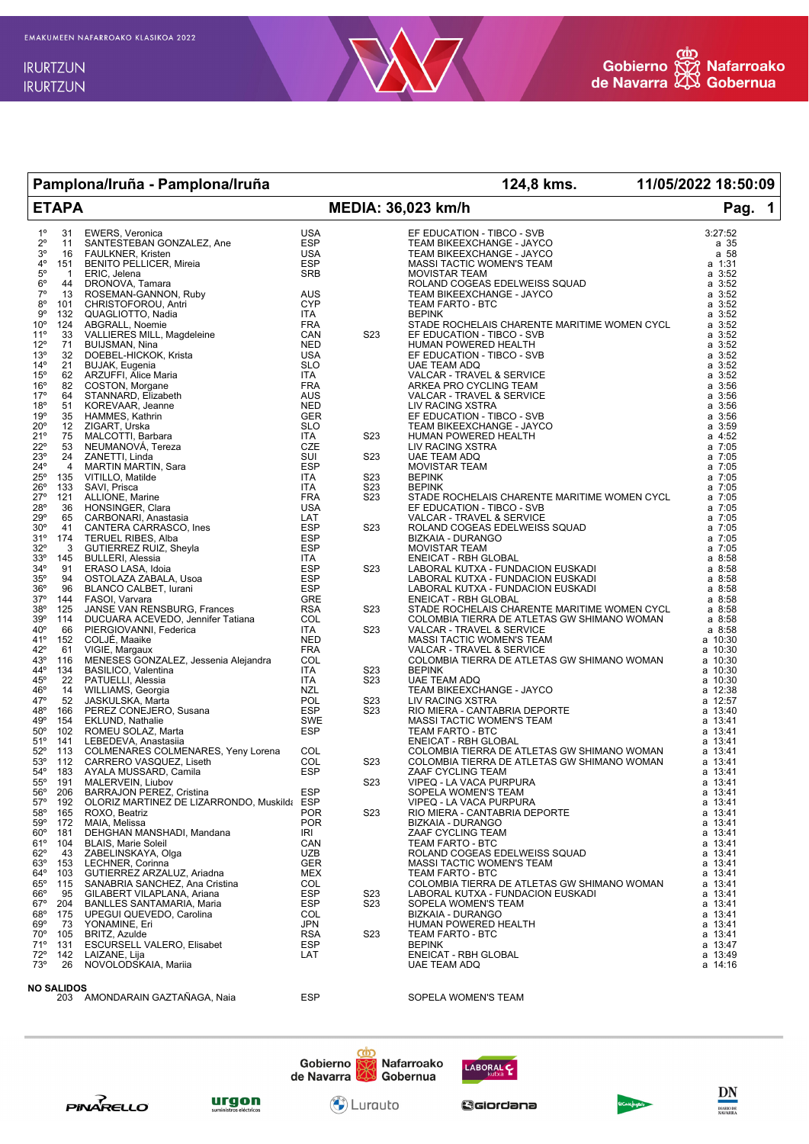

| Pamplona/Iruña - Pamplona/Iruña                 |                |                                                                                                                                                                                                             |                          |                         | 124,8 kms. 11/05/2022 18:50:09                                                                                                                                       |                            |
|-------------------------------------------------|----------------|-------------------------------------------------------------------------------------------------------------------------------------------------------------------------------------------------------------|--------------------------|-------------------------|----------------------------------------------------------------------------------------------------------------------------------------------------------------------|----------------------------|
| <b>ETAPA</b>                                    |                |                                                                                                                                                                                                             |                          | MEDIA: 36,023 km/h      | Pag.<br>$\blacktriangleleft$                                                                                                                                         |                            |
| $1^{\circ}$                                     | 31             | <b>EWERS, Veronica</b>                                                                                                                                                                                      | <b>USA</b>               |                         | EF EDUCATION - TIBCO - SVB                                                                                                                                           | 3:27:52                    |
| $2^{\circ}$                                     | 11             | SANTESTEBAN GONZALEZ, Ane                                                                                                                                                                                   | <b>ESP</b>               |                         | TEAM BIKEEXCHANGE - JAYCO                                                                                                                                            | a 35                       |
| $3^{\circ}$<br>$4^{\circ}$                      | 16<br>151      | FAULKNER, Kristen<br><b>BENITO PELLICER, Mireia</b>                                                                                                                                                         | USA<br>ESP               |                         | TEAM BIKEEXCHANGE - JAYCO<br>MASSI TACTIC WOMEN'S TEAM                                                                                                               | a 58<br>a 1:31             |
| $5^{\circ}$                                     | $\mathbf{1}$   | ERIC, Jelena                                                                                                                                                                                                | SRB                      |                         | <b>MOVISTAR TEAM</b>                                                                                                                                                 | $a \; 3:52$                |
| $6^{\circ}$                                     | 44             | DRONOVA, Tamara                                                                                                                                                                                             |                          |                         | ROLAND COGEAS EDELWEISS SQUAD                                                                                                                                        | $a \, 3:52$                |
| $7^\circ$                                       | 13             | ROSEMAN-GANNON, Ruby                                                                                                                                                                                        | AUS<br>CYP               |                         | TEAM BIKEEXCHANGE - JAYCO                                                                                                                                            | $a \; 3:52$                |
| $8^{\circ}$<br>9°                               | 101<br>132     | CHRISTOFOROU, Antri<br>QUAGLIOTTO, Nadia                                                                                                                                                                    | ITA                      |                         | TEAM FARTO - BTC<br><b>BEPINK</b>                                                                                                                                    | $a \; 3:52$<br>$a \, 3:52$ |
| $10^{\circ}$                                    | 124            | ABGRALL, Noemie                                                                                                                                                                                             | <b>FRA</b>               |                         | STADE ROCHELAIS CHARENTE MARITIME WOMEN CYCL                                                                                                                         | $a \, 3:52$                |
| $11^{\circ}$                                    | 33             | VALLIERES MILL, Magdeleine                                                                                                                                                                                  | CAN                      | S <sub>23</sub>         | EF EDUCATION - TIBCO - SVB                                                                                                                                           | $a \; 3:52$                |
| $12^{\circ}$                                    | 71             | BUIJSMAN, Nina                                                                                                                                                                                              | <b>NED</b>               |                         | HUMAN POWERED HEALTH                                                                                                                                                 | $a \, 3:52$                |
| 13 <sup>°</sup>                                 | 32             | DOEBEL-HICKOK, Krista                                                                                                                                                                                       | USA                      |                         | EF EDUCATION - TIBCO - SVB                                                                                                                                           | $a \, 3:52$                |
| $14^{\circ}$<br>$15^{\circ}$                    | 21<br>62       | <b>BUJAK, Eugenia</b><br>ARZUFFI, Alice Maria                                                                                                                                                               | SLO<br>ITA               |                         | <b>UAE TEAM ADQ</b><br>VALCAR - TRAVEL & SERVICE                                                                                                                     | a 3:52<br>$a \, 3:52$      |
| $16^{\circ}$                                    | 82             | COSTON, Morgane                                                                                                                                                                                             | <b>FRA</b>               |                         | ARKEA PRO CYCLING TEAM                                                                                                                                               | $a \, 3:56$                |
| 17°                                             | 64             | STANNARD, Elizabeth                                                                                                                                                                                         | AUS                      |                         | VALCAR - TRAVEL & SERVICE                                                                                                                                            | $a \, 3:56$                |
| 18°                                             | 51             | KOREVAAR, Jeanne                                                                                                                                                                                            | <b>NED</b>               |                         | LIV RACING XSTRA                                                                                                                                                     | $a \, 3:56$                |
| 19°                                             | 35             | HAMMES, Kathrin                                                                                                                                                                                             | GER                      |                         | EF EDUCATION - TIBCO - SVB                                                                                                                                           | $a \, 3:56$                |
| $20^{\circ}$<br>21°                             | 12<br>75       | ZIGART, Urska<br>MALCOTTI, Barbara                                                                                                                                                                          | <b>SLO</b><br>ITA        | S23                     | TEAM BIKEEXCHANGE - JAYCO<br>HUMAN POWERED HEALTH                                                                                                                    | $a \, 3:59$<br>$a$ 4:52    |
| $22^{\circ}$                                    | 53             | NEUMANOVA, Tereza                                                                                                                                                                                           | CZE                      |                         | LIV RACING XSTRA                                                                                                                                                     | $a \t 7:05$                |
| 23°                                             | 24             | ZANETTI, Linda                                                                                                                                                                                              | SUI                      | S23                     | UAE TEAM ADQ                                                                                                                                                         | $a \t 7:05$                |
| $24^{\circ}$                                    | $\overline{4}$ | MARTIN MARTIN, Sara                                                                                                                                                                                         | ESP                      |                         | <b>MOVISTAR TEAM</b>                                                                                                                                                 | $a \t 7:05$                |
| $25^{\circ}$                                    | 135            | VITILLO, Matilde                                                                                                                                                                                            | ITA                      | S23                     | <b>BEPINK</b>                                                                                                                                                        | $a \t 7:05$                |
| $26^{\circ}$<br>$27^\circ$                      | 133<br>121     | SAVI, Prisca<br>ALLIONE, Marine                                                                                                                                                                             | ITA<br><b>FRA</b>        | S23<br>S <sub>2</sub> 3 | <b>BEPINK</b><br>STADE ROCHELAIS CHARENTE MARITIME WOMEN CYCL                                                                                                        | a 7:05<br>a 7:05           |
| 28°                                             | 36             | HONSINGER, Clara                                                                                                                                                                                            | <b>USA</b>               |                         | EF EDUCATION - TIBCO - SVB                                                                                                                                           | a 7:05                     |
| $29^{\circ}$                                    | 65             | CARBONARI, Anastasia                                                                                                                                                                                        | LAT                      |                         | VALCAR - TRAVEL & SERVICE                                                                                                                                            | a 7:05                     |
| 30 <sup>o</sup>                                 | 41             |                                                                                                                                                                                                             | <b>ESP</b>               | S <sub>2</sub> 3        |                                                                                                                                                                      | a 7:05                     |
| 31°                                             | 174            |                                                                                                                                                                                                             | <b>ESP</b><br><b>ESP</b> |                         |                                                                                                                                                                      | a 7:05                     |
| $32^{\circ}$<br>$33^\circ$                      | 3<br>145       | CARBONARI, Anastasia<br>CANTERA CARRASCO, Ines<br>TERUEL RIBES, Alba<br>GUTIERREZ RUIZ, Sheyla<br>BULLERI, Alessia<br>ERASO LASA, Idoia<br>OSTOLAZA ZABALA, Usoa<br>BLANCO CALBET, Iurani<br>FASOI, Varvara | ITA                      |                         | ALUX II<br>RIZKAIA - DURANGO<br>BIZKAIA - DURANGO<br>MOVISTAR TEAM<br>ENEICAT - RBH GLOBAL<br>LABORAL KUTXA - FUNDACION EUSKADI<br>LABORAL KUTXA - FUNDACION EUSKADI | a 7:05<br>$a \, 8:58$      |
| $34^\circ$                                      | 91             |                                                                                                                                                                                                             | ESP                      | S <sub>2</sub> 3        |                                                                                                                                                                      | a 8:58                     |
| $35^\circ$                                      | 94             |                                                                                                                                                                                                             | <b>ESP</b>               |                         |                                                                                                                                                                      | a 8:58                     |
| $36^{\circ}$                                    | 96             |                                                                                                                                                                                                             | ESP                      |                         |                                                                                                                                                                      | a 8:58                     |
| $37^\circ$                                      | 144            | FASOI, Varvara                                                                                                                                                                                              | GRE                      |                         |                                                                                                                                                                      | a 8:58                     |
| 38°<br>39°                                      | 125<br>114     | JANSE VAN RENSBURG, Frances<br>DUCUARA ACEVEDO, Jennifer Tatiana                                                                                                                                            | <b>RSA</b><br><b>COL</b> | S <sub>2</sub> 3        | COLOMBIA TIERRA DE ATLETAS GW SHIMANO WOMAN<br>VALCAR - TRAVEL & SERVICE<br>MACCI TA TRAVEL & SERVICE                                                                | a 8:58<br>a 8:58           |
| $40^{\circ}$                                    | 66             | PIERGIOVANNI, Federica                                                                                                                                                                                      | ITA                      | S <sub>2</sub> 3        |                                                                                                                                                                      | a 8:58                     |
| 41°                                             | 152            | COLJE, Maaike                                                                                                                                                                                               | <b>NED</b>               |                         | MASSI TACTIC WOMEN'S TEAM                                                                                                                                            | a 10:30                    |
| 42°                                             | 61             | VIGIE, Margaux                                                                                                                                                                                              | <b>FRA</b>               |                         | VALCAR - TRAVEL & SERVICE                                                                                                                                            | a 10:30                    |
| 43°<br>44°                                      | 116            | MENESES GONZALEZ, Jessenia Alejandra                                                                                                                                                                        | <b>COL</b>               |                         | COLOMBIA TIERRA DE ATLETAS GW SHIMANO WOMAN                                                                                                                          | a 10:30<br>a 10:30         |
| $45^{\circ}$                                    | 134<br>22      |                                                                                                                                                                                                             | ITA<br>ITA               | S23<br>S <sub>2</sub> 3 | <b>BEPINK</b><br>UAE TEAM ADQ                                                                                                                                        | a 10:30                    |
| 46°                                             | 14             |                                                                                                                                                                                                             | <b>NZL</b>               |                         | TEAM BIKEEXCHANGE - JAYCO                                                                                                                                            | a 12:38                    |
| $47^\circ$                                      | 52             | MASILICO, Valentina<br>PATUELLI, Alessia<br>VIILLIAMS, Georgia<br>VIILLIAMS, Georgia<br>JASKULSKA, Marta<br>PEREZ CONEJERO, Susana<br>EKLUND, Nathalie<br>COMEJ SOLAZ, Marta<br>LEBEDEVA. Anastasiia        | POL                      | S23                     | LIV RACING XSTRA                                                                                                                                                     | a 12:57                    |
| 48°                                             | 166            |                                                                                                                                                                                                             | <b>ESP</b>               | S23                     | RIO MIERA - CANTABRIA DEPORTE                                                                                                                                        | a 13:40                    |
| 49°<br>$50^\circ$                               | 154<br>102     |                                                                                                                                                                                                             | SWE<br>ESP               |                         | MASSI TACTIC WOMEN'S TEAM<br>TEAM FARTO - BTC                                                                                                                        | a 13:41<br>a 13:41         |
| $51^{\circ}$                                    | 141            | LEBEDEVA, Anastasiia                                                                                                                                                                                        |                          |                         | <b>ENEICAT - RBH GLOBAL</b>                                                                                                                                          | a 13:41                    |
| $52^\circ$                                      | 113            | COLMENARES COLMENARES, Yeny Lorena                                                                                                                                                                          | COL                      |                         | COLOMBIA TIERRA DE ATLETAS GW SHIMANO WOMAN                                                                                                                          | a 13:41                    |
| 53°                                             | 112            | CARRERO VASQUEZ, Liseth                                                                                                                                                                                     | COL                      | S <sub>2</sub> 3        | COLOMBIA TIERRA DE ATLETAS GW SHIMANO WOMAN                                                                                                                          | a 13:41                    |
| $54^{\circ}$                                    | 183            | AYALA MUSSARD, Camila                                                                                                                                                                                       | <b>ESP</b>               |                         | ZAAF CYCLING TEAM                                                                                                                                                    | a 13:41                    |
| $55^\circ$<br>56°                               | 191            | MALERVEIN, Liubov                                                                                                                                                                                           | <b>ESP</b>               | S23                     | VIPEQ - LA VACA PURPURA<br>SOPELA WOMEN'S TEAM                                                                                                                       | a 13:41                    |
| $57^\circ$                                      | 206<br>192     | BARRAJON PEREZ, Cristina<br>OLORIZ MARTINEZ DE LIZARRONDO, Muskilda ESP                                                                                                                                     |                          |                         | VIPEQ - LA VACA PURPURA                                                                                                                                              | a 13:41<br>a 13:41         |
| $58^\circ$                                      | 165            | ROXO, Beatriz                                                                                                                                                                                               | <b>POR</b>               | S <sub>2</sub> 3        | RIO MIERA - CANTABRIA DEPORTE                                                                                                                                        | a 13:41                    |
| $59^\circ$                                      | 172            | MAIA, Melissa                                                                                                                                                                                               | <b>POR</b>               |                         | BIZKAIA - DURANGO                                                                                                                                                    | a 13:41                    |
| $60^{\circ}$                                    | 181            | DEHGHAN MANSHADI, Mandana                                                                                                                                                                                   | IRI                      |                         | ZAAF CYCLING TEAM                                                                                                                                                    | a 13:41                    |
| 61°<br>$62^\circ$                               | 104<br>43      | <b>BLAIS, Marie Soleil</b>                                                                                                                                                                                  | CAN<br><b>UZB</b>        |                         | TEAM FARTO - BTC<br>ROLAND COGEAS EDELWEISS SQUAD                                                                                                                    | a 13:41<br>a 13:41         |
| $63^{\circ}$                                    | 153            | ZABELINSKAYA, Olga<br>LECHNER, Corinna                                                                                                                                                                      | <b>GER</b>               |                         | MASSI TACTIC WOMEN'S TEAM                                                                                                                                            | a 13:41                    |
| $64^{\circ}$                                    | 103            | GUTIERREZ ARZALUZ, Ariadna                                                                                                                                                                                  | MEX                      |                         | TEAM FARTO - BTC                                                                                                                                                     | a 13:41                    |
| $65^{\circ}$                                    | 115            | SANABRIA SANCHEZ, Ana Cristina                                                                                                                                                                              | COL.                     |                         | COLOMBIA TIERRA DE ATLETAS GW SHIMANO WOMAN                                                                                                                          | a 13:41                    |
| $66^{\circ}$                                    | 95             | GILABERT VILAPLANA, Ariana                                                                                                                                                                                  | <b>ESP</b>               | S23                     | LABORAL KUTXA - FUNDACION EUSKADI                                                                                                                                    | a 13:41                    |
| $67^\circ$                                      | 204            | BANLLES SANTAMARIA, Maria                                                                                                                                                                                   | <b>ESP</b>               | S23                     | SOPELA WOMEN'S TEAM                                                                                                                                                  | a 13:41                    |
| $68^{\circ}$<br>$69^\circ$                      | 175<br>73      | UPEGUI QUEVEDO, Carolina<br>YONAMINE, Eri                                                                                                                                                                   | <b>COL</b><br>JPN        |                         | <b>BIZKAIA - DURANGO</b><br>HUMAN POWERED HEALTH                                                                                                                     | a 13:41<br>a 13:41         |
| 70°                                             | 105            | BRITZ, Azulde                                                                                                                                                                                               | <b>RSA</b>               | S <sub>2</sub> 3        | <b>TEAM FARTO - BTC</b>                                                                                                                                              | a 13:41                    |
| 71°                                             | 131            | ESCURSELL VALERO, Elisabet                                                                                                                                                                                  | <b>ESP</b>               |                         | <b>BEPINK</b>                                                                                                                                                        | a 13:47                    |
| $72^{\circ}$                                    | 142            | LAIZANE, Lija                                                                                                                                                                                               | LAT                      |                         | <b>ENEICAT - RBH GLOBAL</b>                                                                                                                                          | a 13:49                    |
| 73°                                             | 26             | NOVOLODSKAIA, Mariia                                                                                                                                                                                        |                          |                         | UAE TEAM ADQ                                                                                                                                                         | a 14:16                    |
| NO SALIDOS<br>AMONDARAIN GAZTAÑAGA, Naia<br>203 |                |                                                                                                                                                                                                             | <b>ESP</b>               |                         | SOPELA WOMEN'S TEAM                                                                                                                                                  |                            |







Gobierno<br>de Navarra

<mark>(⋔)</mark><br>Nafarroako<br>KN Gobernua

Gciordana

LABORAL C

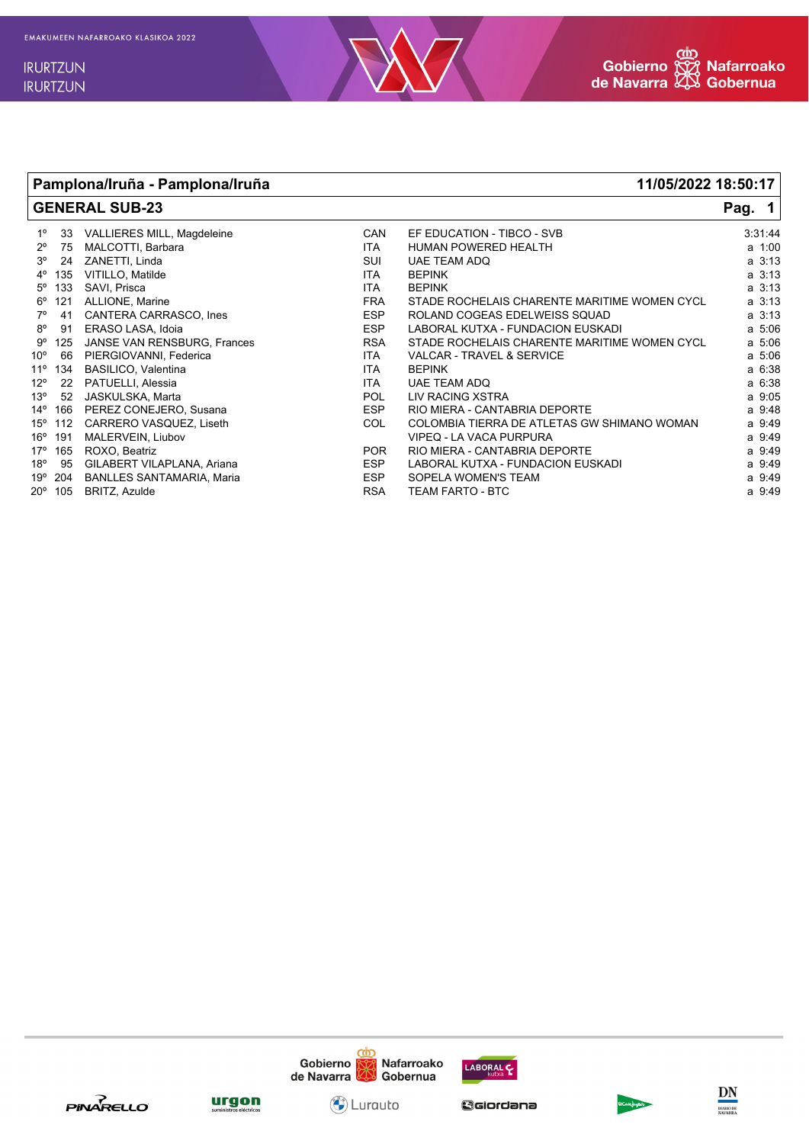

**Pamplona/Iruña - Pamplona/Iruña 11/05/2022 18:50:17**

## **GENERAL SUB-23 Pag. 1** 1º 33 VALLIERES MILL, Magdeleine CAN EF EDUCATION - TIBCO - SVB 3:31:44 2º 75 MALCOTTI, Barbara ITA HUMAN POWERED HEALTH a 1:00 3º 24 ZANETTI, Linda SUI UAE TEAM ADQ a 3:13 VITILLO, Matilde 5º 133 SAVI, Prisca ITA BEPINK a 3:13 6º 121 ALLIONE, Marine and State of the FRA STADE ROCHELAIS CHARENTE MARITIME WOMEN CYCL a 3:13<br>7º 41 CANTERA CARRASCO, Ines a the ESP ROLAND COGEAS EDELWEISS SQUAD 7º 41 CANTERA CARRASCO, Ines ESP ROLAND COGEAS EDELWEISS SQUAD a 3:13 8º 91 ERASO LASA, Idoia ESP LABORAL KUTXA - FUNDACION EUSKADI a 5:06 9º 125 JANSE VAN RENSBURG, Frances RSA STADE ROCHELAIS CHARENTE MARITIME WOMEN CYCL a 5:06 10º 66 PIERGIOVANNI, Federica ITA VALCAR - TRAVEL & SERVICE a 5:06 11º 134 BASILICO, Valentina ITA BEPINK a 6:38 12º 22 PATUELLI, Alessia ITA UAE TEAM ADQ a 6:38 13º 52 JASKULSKA, Marta POL LIV RACING XSTRA a 9:05 14º 166 PEREZ CONEJERO, Susana ESP RIO MIERA - CANTABRIA DEPORTE a 9:48 COL COLOMBIA TIERRA DE ATLETAS GW SHIMANO WOMAN 16º 191 MALERVEIN, Liubov VIPEQ - LA VACA PURPURA a 9:49 165 ROXO, Beatriz and the state of the state of the POR RIO MIERA - CANTABRIA DEPORTE and the state of the state of the state of the state of the state of the state of the state of the state of the state of the state of th 18º 95 GILABERT VILAPLANA, Ariana ESP LABORAL KUTXA - FUNDACION EUSKADI a 9:49 19º 204 BANLLES SANTAMARIA, Maria Sopera ESP

- 
- 20º 105 BRITZ, Azulde RSA TEAM FARTO BTC a 9:49







O Lurauto

Gciordana



DN

**MARIO DE**<br>AVARRA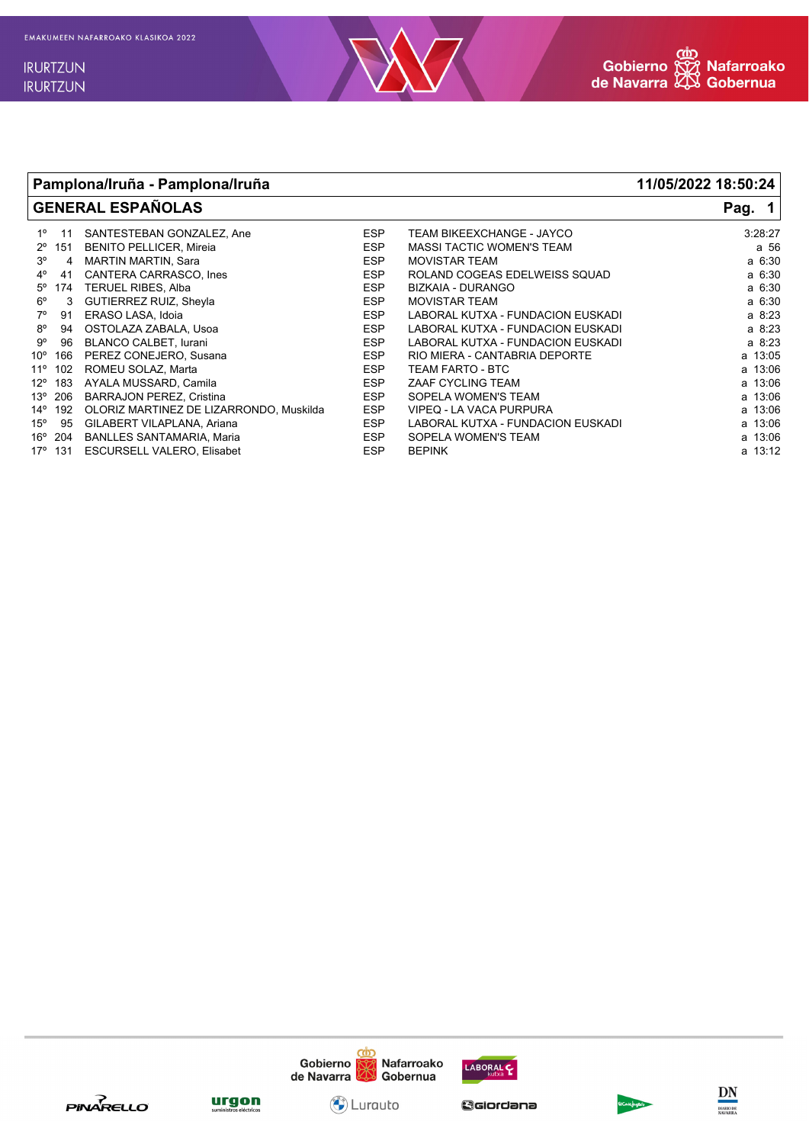



## Pamplona/Iruña - Pamplona/Iruña 11/05/2022 18:50:24 **GENERAL ESPAÑOLAS** Pag.  $\mathbf 1$  $1^{\circ}$ SANTESTEBAN GONZALEZ, Ane **FSP** TEAM BIKEEXCHANGE - JAYCO  $3:28:27$  $11$  $2^{\circ}$  151 **BENITO PELLICER, Mireia ESP MASSI TACTIC WOMEN'S TEAM** a 56  $3<sup>o</sup>$ 4 MARTIN MARTIN, Sara **FSP** MOVISTAR TEAM a 6:30  $4^{\circ}$ 41 CANTERA CARRASCO, Ines **ESP** ROLAND COGEAS EDELWEISS SQUAD a 6:30  $5^{\rm o}$ TERUEL RIBES, Alba **ESP BIZKAIA - DURANGO** a 6:30 174  $6^{\circ}$ GUTIERREZ RUIZ, Sheyla **ESP MOVISTAR TEAM** a 6:30  $3<sup>3</sup>$  $7^\circ$ **FSP** LABORAL KUTXA - FUNDACION EUSKADI 91 ERASO LASA, Idoia  $a \t 8:23$  $8^{\circ}$ OSTOLAZA ZABALA, Usoa **ESP** LABORAL KUTXA - FUNDACION EUSKADI a 8:23 94  $9^{\rm o}$ 96 **BLANCO CALBET, lurani ESP** LABORAL KUTXA - FUNDACION EUSKADI a 8:23  $10^{\circ}$  166 PEREZ CONEJERO, Susana **ESP** RIO MIERA - CANTABRIA DEPORTE  $a$  13:05 11° 102 ROMEU SOLAZ, Marta **ESP** TEAM FARTO - BTC a 13:06  $12^{\circ}$  183 AYALA MUSSARD, Camila ZAAF CYCLING TEAM **FSP**  $a, 13.06$ 13° 206 **BARRAJON PEREZ, Cristina ESP** SOPELA WOMEN'S TEAM a 13:06 14° 192 OLORIZ MARTINEZ DE LIZARRONDO, Muskilda ESP VIPEQ - LA VACA PURPURA a 13:06  $15^{\circ}$  95 LABORAL KUTXA - FUNDACION EUSKADI GILABERT VILAPLANA, Ariana **ESP** a 13:06 16° 204 BANLLES SANTAMARIA, Maria **FSP** SOPELA WOMEN'S TEAM a 13:06 131 ESCURSELL VALERO. Elisabet ESP  $17°$ **BEPINK** a 13:12







C) Lurauto

Gciordana